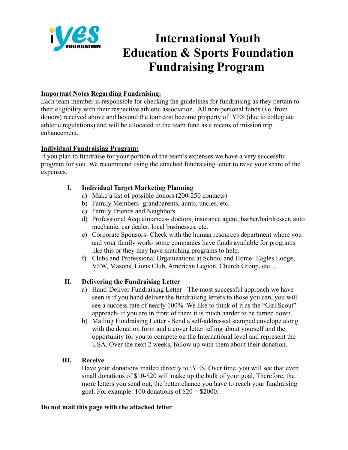

# **International Youth Education & Sports Foundation Fundraising Program**

## **Important Notes Regarding Fundraising:**

Each team member is responsible for checking the guidelines for fundraising as they pertain to their eligibility with their respective athletic association. All non-personal funds (i.e. from donors) received above and beyond the tour cost become property of iYES (due to collegiate athletic regulations) and will be allocated to the team fund as a means of mission trip enhancement.

## **Individual Fundraising Program:**

If you plan to fundraise for your portion of the team's expenses we have a very successful program for you. We recommend using the attached fundraising letter to raise your share of the expenses.

## **I. Individual Target Marketing Planning**

- a) Make a list of possible donors (200-250 contacts)
- b) Family Members- grandparents, aunts, uncles, etc.
- c) Family Friends and Neighbors
- d) Professional Acquaintances- doctors, insurance agent, barber/hairdresser, auto mechanic, car dealer, local businesses, etc.
- e) Corporate Sponsors- Check with the human resources department where you and your family work- some companies have funds available for programs like this or they may have matching programs to help.
- f) Clubs and Professional Organizations at School and Home- Eagles Lodge, VFW, Masons, Lions Club, American Legion, Church Group, etc…

## **II. Delivering the Fundraising Letter**

- a) Hand-Deliver Fundraising Letter The most successful approach we have seen is if you hand deliver the fundraising letters to those you can, you will see a success rate of nearly 100%. We like to think of it as the "Girl Scout" approach- if you are in front of them it is much harder to be turned down.
- b) Mailing Fundraising Letter Send a self-addressed stamped envelope along with the donation form and a cover letter telling about yourself and the opportunity for you to compete on the International level and represent the USA. Over the next 2 weeks, follow up with them about their donation.

## **III. Receive**

Have your donations mailed directly to iYES. Over time, you will see that even small donations of \$10-\$20 will make up the bulk of your goal. Therefore, the more letters you send out, the better chance you have to reach your fundraising goal. For example: 100 donations of  $$20 = $2000$ .

## **Do not mail this page with the attached letter**